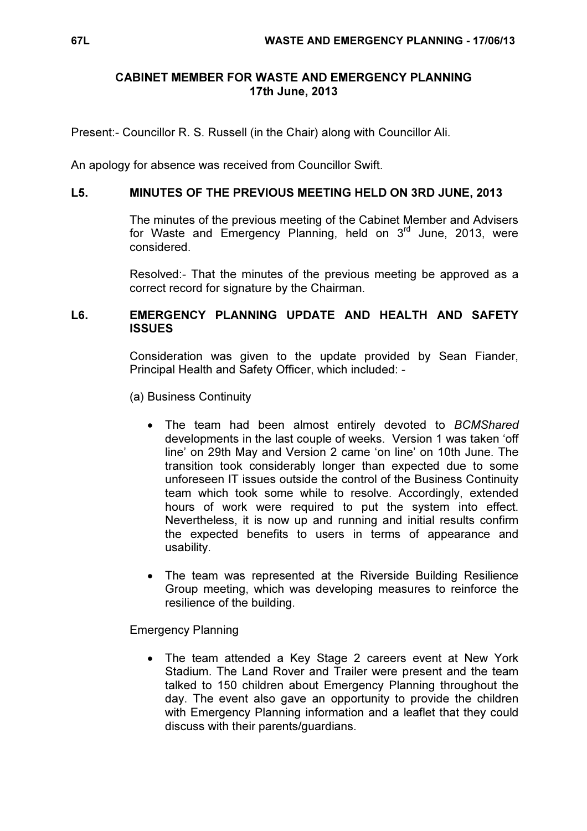# CABINET MEMBER FOR WASTE AND EMERGENCY PLANNING 17th June, 2013

Present:- Councillor R. S. Russell (in the Chair) along with Councillor Ali.

An apology for absence was received from Councillor Swift.

### L5. MINUTES OF THE PREVIOUS MEETING HELD ON 3RD JUNE, 2013

 The minutes of the previous meeting of the Cabinet Member and Advisers for Waste and Emergency Planning, held on  $3<sup>rd</sup>$  June, 2013, were considered.

Resolved:- That the minutes of the previous meeting be approved as a correct record for signature by the Chairman.

# L6. EMERGENCY PLANNING UPDATE AND HEALTH AND SAFETY **ISSUES**

 Consideration was given to the update provided by Sean Fiander, Principal Health and Safety Officer, which included: -

- (a) Business Continuity
	- The team had been almost entirely devoted to BCMShared developments in the last couple of weeks. Version 1 was taken 'off line' on 29th May and Version 2 came 'on line' on 10th June. The transition took considerably longer than expected due to some unforeseen IT issues outside the control of the Business Continuity team which took some while to resolve. Accordingly, extended hours of work were required to put the system into effect. Nevertheless, it is now up and running and initial results confirm the expected benefits to users in terms of appearance and usability.
	- The team was represented at the Riverside Building Resilience Group meeting, which was developing measures to reinforce the resilience of the building.

Emergency Planning

• The team attended a Key Stage 2 careers event at New York Stadium. The Land Rover and Trailer were present and the team talked to 150 children about Emergency Planning throughout the day. The event also gave an opportunity to provide the children with Emergency Planning information and a leaflet that they could discuss with their parents/guardians.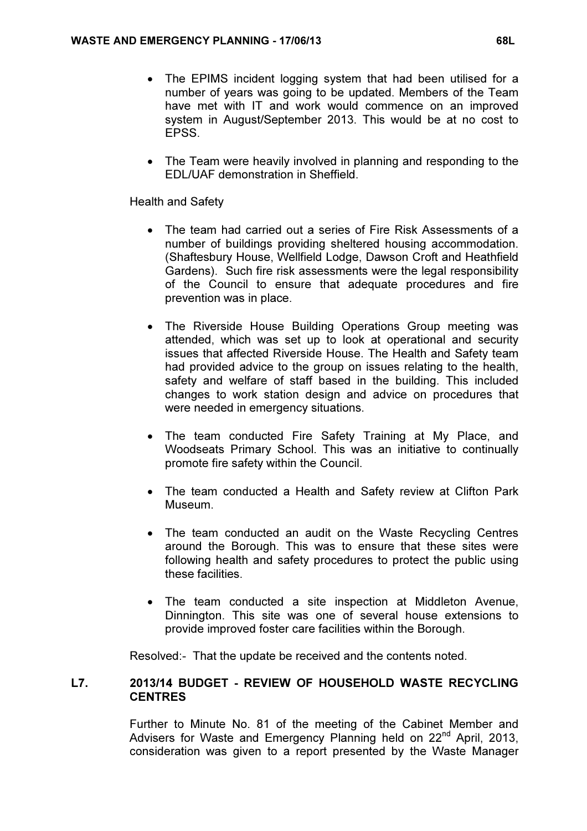- The EPIMS incident logging system that had been utilised for a number of years was going to be updated. Members of the Team have met with IT and work would commence on an improved system in August/September 2013. This would be at no cost to EPSS.
- The Team were heavily involved in planning and responding to the EDL/UAF demonstration in Sheffield.

Health and Safety

- The team had carried out a series of Fire Risk Assessments of a number of buildings providing sheltered housing accommodation. (Shaftesbury House, Wellfield Lodge, Dawson Croft and Heathfield Gardens). Such fire risk assessments were the legal responsibility of the Council to ensure that adequate procedures and fire prevention was in place.
- The Riverside House Building Operations Group meeting was attended, which was set up to look at operational and security issues that affected Riverside House. The Health and Safety team had provided advice to the group on issues relating to the health, safety and welfare of staff based in the building. This included changes to work station design and advice on procedures that were needed in emergency situations.
- The team conducted Fire Safety Training at My Place, and Woodseats Primary School. This was an initiative to continually promote fire safety within the Council.
- The team conducted a Health and Safety review at Clifton Park Museum.
- The team conducted an audit on the Waste Recycling Centres around the Borough. This was to ensure that these sites were following health and safety procedures to protect the public using these facilities.
- The team conducted a site inspection at Middleton Avenue, Dinnington. This site was one of several house extensions to provide improved foster care facilities within the Borough.

Resolved:- That the update be received and the contents noted.

#### L7. 2013/14 BUDGET - REVIEW OF HOUSEHOLD WASTE RECYCLING **CENTRES**

 Further to Minute No. 81 of the meeting of the Cabinet Member and Advisers for Waste and Emergency Planning held on 22<sup>nd</sup> April, 2013, consideration was given to a report presented by the Waste Manager